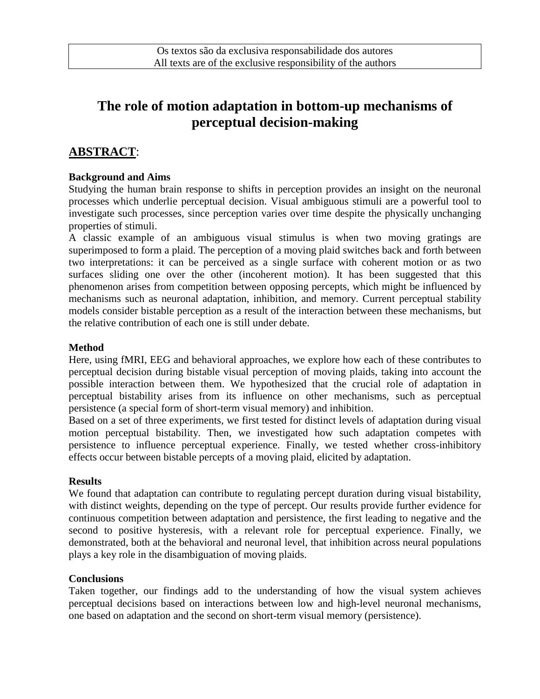# **The role of motion adaptation in bottom-up mechanisms of perceptual decision-making**

## **ABSTRACT**:

#### **Background and Aims**

Studying the human brain response to shifts in perception provides an insight on the neuronal processes which underlie perceptual decision. Visual ambiguous stimuli are a powerful tool to investigate such processes, since perception varies over time despite the physically unchanging properties of stimuli.

A classic example of an ambiguous visual stimulus is when two moving gratings are superimposed to form a plaid. The perception of a moving plaid switches back and forth between two interpretations: it can be perceived as a single surface with coherent motion or as two surfaces sliding one over the other (incoherent motion). It has been suggested that this phenomenon arises from competition between opposing percepts, which might be influenced by mechanisms such as neuronal adaptation, inhibition, and memory. Current perceptual stability models consider bistable perception as a result of the interaction between these mechanisms, but the relative contribution of each one is still under debate.

#### **Method**

Here, using fMRI, EEG and behavioral approaches, we explore how each of these contributes to perceptual decision during bistable visual perception of moving plaids, taking into account the possible interaction between them. We hypothesized that the crucial role of adaptation in perceptual bistability arises from its influence on other mechanisms, such as perceptual persistence (a special form of short-term visual memory) and inhibition.

Based on a set of three experiments, we first tested for distinct levels of adaptation during visual motion perceptual bistability. Then, we investigated how such adaptation competes with persistence to influence perceptual experience. Finally, we tested whether cross-inhibitory effects occur between bistable percepts of a moving plaid, elicited by adaptation.

#### **Results**

We found that adaptation can contribute to regulating percept duration during visual bistability, with distinct weights, depending on the type of percept. Our results provide further evidence for continuous competition between adaptation and persistence, the first leading to negative and the second to positive hysteresis, with a relevant role for perceptual experience. Finally, we demonstrated, both at the behavioral and neuronal level, that inhibition across neural populations plays a key role in the disambiguation of moving plaids.

#### **Conclusions**

Taken together, our findings add to the understanding of how the visual system achieves perceptual decisions based on interactions between low and high-level neuronal mechanisms, one based on adaptation and the second on short-term visual memory (persistence).